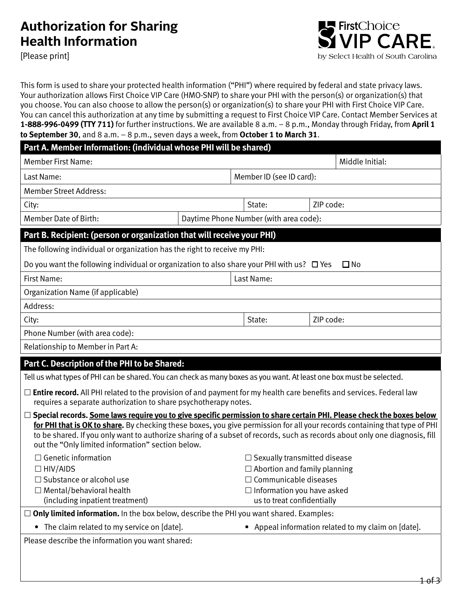# **Authorization for Sharing**

[Please print]



This form is used to share your protected health information ("PHI") where required by federal and state privacy laws. Your authorization allows First Choice VIP Care (HMO-SNP) to share your PHI with the person(s) or organization(s) that you choose. You can also choose to allow the person(s) or organization(s) to share your PHI with First Choice VIP Care. You can cancel this authorization at any time by submitting a request to First Choice VIP Care. Contact Member Services at **1-888-996-0499 (TTY 711)** for further instructions. We are available 8 a.m. – 8 p.m., Monday through Friday, from **April 1 to September 30**, and 8 a.m. – 8 p.m., seven days a week, from **October 1 to March 31**.

| Part A. Member Information: (individual whose PHI will be shared)                                                                                                                                                                                                                                                                                                                                                                             |                                        |                                                                 |            |           |                 |
|-----------------------------------------------------------------------------------------------------------------------------------------------------------------------------------------------------------------------------------------------------------------------------------------------------------------------------------------------------------------------------------------------------------------------------------------------|----------------------------------------|-----------------------------------------------------------------|------------|-----------|-----------------|
| <b>Member First Name:</b>                                                                                                                                                                                                                                                                                                                                                                                                                     |                                        |                                                                 |            |           | Middle Initial: |
| Last Name:                                                                                                                                                                                                                                                                                                                                                                                                                                    |                                        | Member ID (see ID card):                                        |            |           |                 |
| <b>Member Street Address:</b>                                                                                                                                                                                                                                                                                                                                                                                                                 |                                        |                                                                 |            |           |                 |
| City:                                                                                                                                                                                                                                                                                                                                                                                                                                         |                                        |                                                                 | State:     | ZIP code: |                 |
| Member Date of Birth:                                                                                                                                                                                                                                                                                                                                                                                                                         | Daytime Phone Number (with area code): |                                                                 |            |           |                 |
| Part B. Recipient: (person or organization that will receive your PHI)                                                                                                                                                                                                                                                                                                                                                                        |                                        |                                                                 |            |           |                 |
| The following individual or organization has the right to receive my PHI:                                                                                                                                                                                                                                                                                                                                                                     |                                        |                                                                 |            |           |                 |
| Do you want the following individual or organization to also share your PHI with us? $\Box$ Yes<br>$\square$ No                                                                                                                                                                                                                                                                                                                               |                                        |                                                                 |            |           |                 |
| First Name:                                                                                                                                                                                                                                                                                                                                                                                                                                   |                                        |                                                                 | Last Name: |           |                 |
| Organization Name (if applicable)                                                                                                                                                                                                                                                                                                                                                                                                             |                                        |                                                                 |            |           |                 |
| Address:                                                                                                                                                                                                                                                                                                                                                                                                                                      |                                        |                                                                 |            |           |                 |
| City:                                                                                                                                                                                                                                                                                                                                                                                                                                         |                                        |                                                                 | State:     | ZIP code: |                 |
| Phone Number (with area code):                                                                                                                                                                                                                                                                                                                                                                                                                |                                        |                                                                 |            |           |                 |
| Relationship to Member in Part A:                                                                                                                                                                                                                                                                                                                                                                                                             |                                        |                                                                 |            |           |                 |
| Part C. Description of the PHI to be Shared:                                                                                                                                                                                                                                                                                                                                                                                                  |                                        |                                                                 |            |           |                 |
| Tell us what types of PHI can be shared. You can check as many boxes as you want. At least one box must be selected.                                                                                                                                                                                                                                                                                                                          |                                        |                                                                 |            |           |                 |
| $\Box$ <b>Entire record.</b> All PHI related to the provision of and payment for my health care benefits and services. Federal law<br>requires a separate authorization to share psychotherapy notes.                                                                                                                                                                                                                                         |                                        |                                                                 |            |           |                 |
| $\Box$ Special records. Some laws require you to give specific permission to share certain PHI. Please check the boxes below<br>for PHI that is OK to share. By checking these boxes, you give permission for all your records containing that type of PHI<br>to be shared. If you only want to authorize sharing of a subset of records, such as records about only one diagnosis, fill<br>out the "Only limited information" section below. |                                        |                                                                 |            |           |                 |
| $\Box$ Genetic information                                                                                                                                                                                                                                                                                                                                                                                                                    |                                        | $\Box$ Sexually transmitted disease                             |            |           |                 |
| $\Box$ HIV/AIDS                                                                                                                                                                                                                                                                                                                                                                                                                               |                                        | $\Box$ Abortion and family planning                             |            |           |                 |
| □ Substance or alcohol use                                                                                                                                                                                                                                                                                                                                                                                                                    |                                        | $\Box$ Communicable diseases                                    |            |           |                 |
| $\Box$ Mental/behavioral health<br>(including inpatient treatment)                                                                                                                                                                                                                                                                                                                                                                            |                                        | $\Box$ Information you have asked<br>us to treat confidentially |            |           |                 |
| $\Box$ Only limited information. In the box below, describe the PHI you want shared. Examples:                                                                                                                                                                                                                                                                                                                                                |                                        |                                                                 |            |           |                 |
| • The claim related to my service on [date].<br>• Appeal information related to my claim on [date].                                                                                                                                                                                                                                                                                                                                           |                                        |                                                                 |            |           |                 |
| Please describe the information you want shared:                                                                                                                                                                                                                                                                                                                                                                                              |                                        |                                                                 |            |           |                 |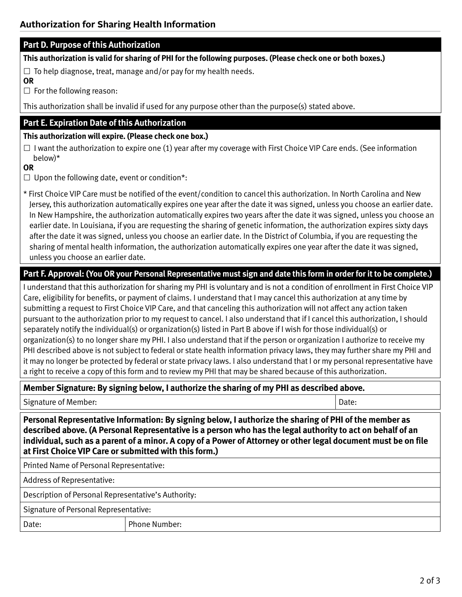# **Part D. Purpose of this Authorization**

**This authorization is valid for sharing of PHI for the following purposes. (Please check one or both boxes.)**

 $\Box$  To help diagnose, treat, manage and/or pay for my health needs.

**OR**

 $\square$  For the following reason:

This authorization shall be invalid if used for any purpose other than the purpose(s) stated above.

# **Part E. Expiration Date of this Authorization**

## **This authorization will expire. (Please check one box.)**

 $\square$  I want the authorization to expire one (1) year after my coverage with First Choice VIP Care ends. (See information below)\*

#### **OR**

 $\Box$  Upon the following date, event or condition\*:

\* First Choice VIP Care must be notified of the event/condition to cancel this authorization. In North Carolina and New Jersey, this authorization automatically expires one year after the date it was signed, unless you choose an earlier date. In New Hampshire, the authorization automatically expires two years after the date it was signed, unless you choose an earlier date. In Louisiana, if you are requesting the sharing of genetic information, the authorization expires sixty days after the date it was signed, unless you choose an earlier date. In the District of Columbia, if you are requesting the sharing of mental health information, the authorization automatically expires one year after the date it was signed, unless you choose an earlier date.

# **Part F. Approval: (You OR your Personal Representative must sign and date this form in order for it to be complete.)**

I understand that this authorization for sharing my PHI is voluntary and is not a condition of enrollment in First Choice VIP Care, eligibility for benefits, or payment of claims. I understand that I may cancel this authorization at any time by submitting a request to First Choice VIP Care, and that canceling this authorization will not affect any action taken pursuant to the authorization prior to my request to cancel. I also understand that if I cancel this authorization, I should separately notify the individual(s) or organization(s) listed in Part B above if I wish for those individual(s) or organization(s) to no longer share my PHI. I also understand that if the person or organization I authorize to receive my PHI described above is not subject to federal or state health information privacy laws, they may further share my PHI and it may no longer be protected by federal or state privacy laws. I also understand that I or my personal representative have a right to receive a copy of this form and to review my PHI that may be shared because of this authorization.

# **Member Signature: By signing below, I authorize the sharing of my PHI as described above.**

| Signature of Member:                                                                                                                                                                                                                                                                                                                                                                             |                      | Date: |  |  |
|--------------------------------------------------------------------------------------------------------------------------------------------------------------------------------------------------------------------------------------------------------------------------------------------------------------------------------------------------------------------------------------------------|----------------------|-------|--|--|
| Personal Representative Information: By signing below, I authorize the sharing of PHI of the member as<br>described above. (A Personal Representative is a person who has the legal authority to act on behalf of an<br>individual, such as a parent of a minor. A copy of a Power of Attorney or other legal document must be on file<br>at First Choice VIP Care or submitted with this form.) |                      |       |  |  |
| Printed Name of Personal Representative:                                                                                                                                                                                                                                                                                                                                                         |                      |       |  |  |
| Address of Representative:                                                                                                                                                                                                                                                                                                                                                                       |                      |       |  |  |
| Description of Personal Representative's Authority:                                                                                                                                                                                                                                                                                                                                              |                      |       |  |  |
| Signature of Personal Representative:                                                                                                                                                                                                                                                                                                                                                            |                      |       |  |  |
| Date:                                                                                                                                                                                                                                                                                                                                                                                            | <b>Phone Number:</b> |       |  |  |